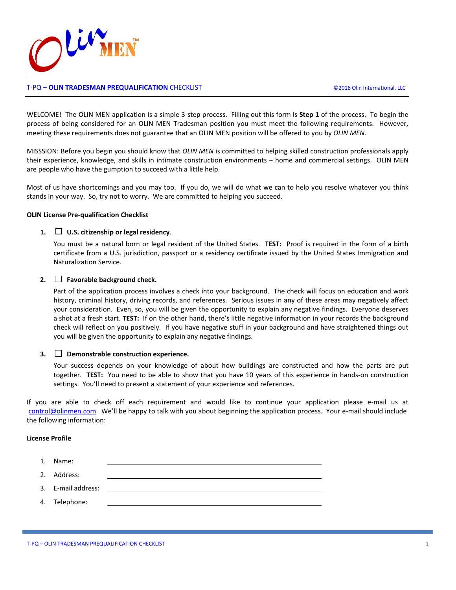

# T-PQ – **OLIN TRADESMAN PREQUALIFICATION** CHECKLIST ©2016 Olin International, LLC

WELCOME! The OLIN MEN application is a simple 3-step process. Filling out this form is **Step 1** of the process. To begin the process of being considered for an OLIN MEN Tradesman position you must meet the following requirements. However, meeting these requirements does not guarantee that an OLIN MEN position will be offered to you by *OLIN MEN*.

MISSSION: Before you begin you should know that *OLIN MEN* is committed to helping skilled construction professionals apply their experience, knowledge, and skills in intimate construction environments – home and commercial settings. OLIN MEN are people who have the gumption to succeed with a little help.

Most of us have shortcomings and you may too. If you do, we will do what we can to help you resolve whatever you think stands in your way. So, try not to worry. We are committed to helping you succeed.

### **OLIN License Pre-qualification Checklist**

### **1. U.S. citizenship or legal residency**.

You must be a natural born or legal resident of the United States. **TEST:** Proof is required in the form of a birth certificate from a U.S. jurisdiction, passport or a residency certificate issued by the United States Immigration and Naturalization Service.

### **2. Favorable background check.**

Part of the application process involves a check into your background. The check will focus on education and work history, criminal history, driving records, and references. Serious issues in any of these areas may negatively affect your consideration. Even, so, you will be given the opportunity to explain any negative findings. Everyone deserves a shot at a fresh start. **TEST:** If on the other hand, there's little negative information in your records the background check will reflect on you positively. If you have negative stuff in your background and have straightened things out you will be given the opportunity to explain any negative findings.

#### **3. Demonstrable construction experience.**

Your success depends on your knowledge of about how buildings are constructed and how the parts are put together. **TEST:** You need to be able to show that you have 10 years of this experience in hands-on construction settings. You'll need to present a statement of your experience and references.

If you are able to check off each requirement and would like to continue your application please e-mail us at [control@olinmen.com](mailto:control@olinmen.com) We'll be happy to talk with you about beginning the application process. Your e-mail should include the following information:

### **License Profile**

| 1. Name:           |  |
|--------------------|--|
| 2. Address:        |  |
| 3. E-mail address: |  |
| 4. Telephone:      |  |
|                    |  |